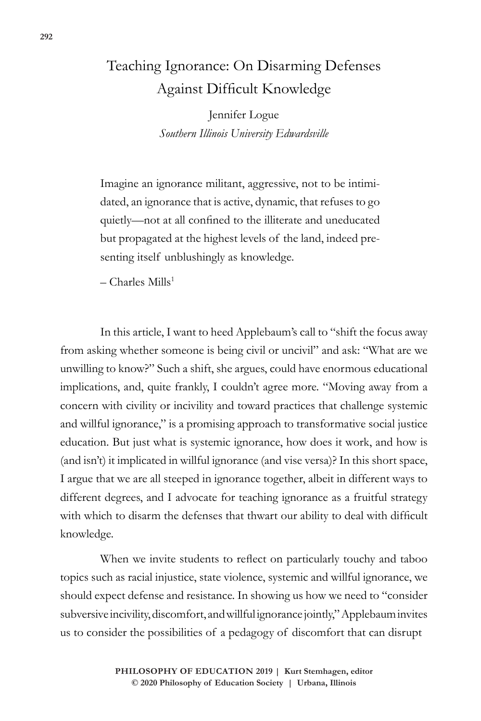## Teaching Ignorance: On Disarming Defenses Against Difficult Knowledge

Jennifer Logue *Southern Illinois University Edwardsville*

Imagine an ignorance militant, aggressive, not to be intimidated, an ignorance that is active, dynamic, that refuses to go quietly—not at all confined to the illiterate and uneducated but propagated at the highest levels of the land, indeed presenting itself unblushingly as knowledge.

 $-$  Charles Mills<sup>1</sup>

In this article, I want to heed Applebaum's call to "shift the focus away from asking whether someone is being civil or uncivil" and ask: "What are we unwilling to know?" Such a shift, she argues, could have enormous educational implications, and, quite frankly, I couldn't agree more. "Moving away from a concern with civility or incivility and toward practices that challenge systemic and willful ignorance," is a promising approach to transformative social justice education. But just what is systemic ignorance, how does it work, and how is (and isn't) it implicated in willful ignorance (and vise versa)? In this short space, I argue that we are all steeped in ignorance together, albeit in different ways to different degrees, and I advocate for teaching ignorance as a fruitful strategy with which to disarm the defenses that thwart our ability to deal with difficult knowledge.

When we invite students to reflect on particularly touchy and taboo topics such as racial injustice, state violence, systemic and willful ignorance, we should expect defense and resistance. In showing us how we need to "consider subversive incivility, discomfort, and willful ignorance jointly," Applebaum invites us to consider the possibilities of a pedagogy of discomfort that can disrupt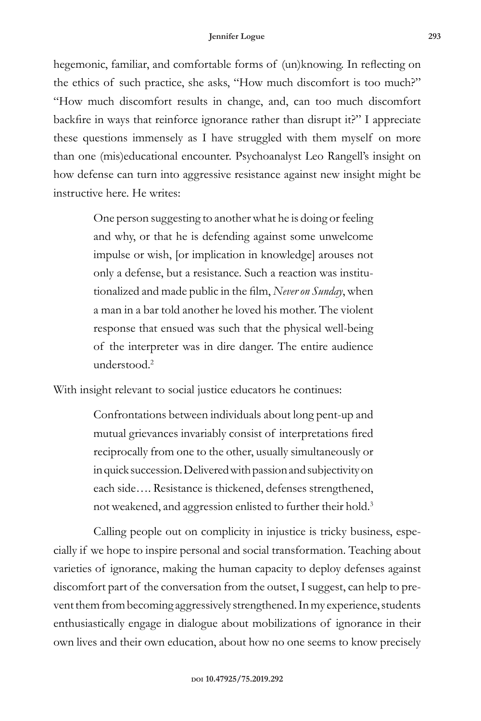hegemonic, familiar, and comfortable forms of (un)knowing. In reflecting on the ethics of such practice, she asks, "How much discomfort is too much?" "How much discomfort results in change, and, can too much discomfort backfire in ways that reinforce ignorance rather than disrupt it?" I appreciate these questions immensely as I have struggled with them myself on more than one (mis)educational encounter. Psychoanalyst Leo Rangell's insight on how defense can turn into aggressive resistance against new insight might be instructive here. He writes:

> One person suggesting to another what he is doing or feeling and why, or that he is defending against some unwelcome impulse or wish, [or implication in knowledge] arouses not only a defense, but a resistance. Such a reaction was institutionalized and made public in the film, *Never on Sunday*, when a man in a bar told another he loved his mother. The violent response that ensued was such that the physical well-being of the interpreter was in dire danger. The entire audience understood.<sup>2</sup>

With insight relevant to social justice educators he continues:

Confrontations between individuals about long pent-up and mutual grievances invariably consist of interpretations fired reciprocally from one to the other, usually simultaneously or in quick succession. Delivered with passion and subjectivity on each side…. Resistance is thickened, defenses strengthened, not weakened, and aggression enlisted to further their hold.<sup>3</sup>

Calling people out on complicity in injustice is tricky business, especially if we hope to inspire personal and social transformation. Teaching about varieties of ignorance, making the human capacity to deploy defenses against discomfort part of the conversation from the outset, I suggest, can help to prevent them from becoming aggressively strengthened. In my experience, students enthusiastically engage in dialogue about mobilizations of ignorance in their own lives and their own education, about how no one seems to know precisely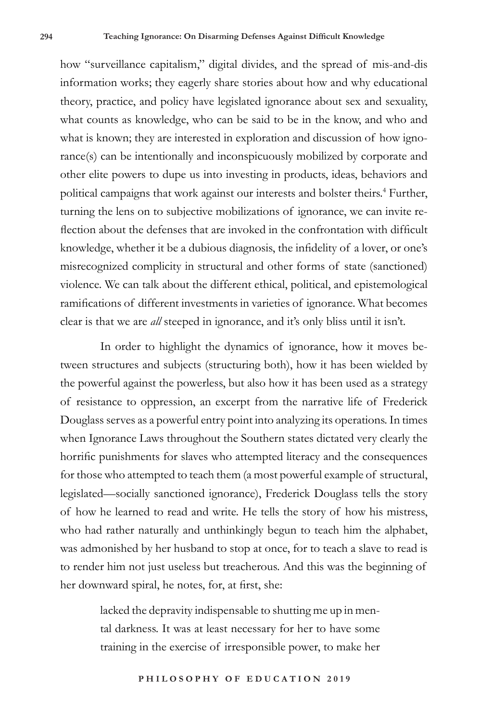how "surveillance capitalism," digital divides, and the spread of mis-and-dis information works; they eagerly share stories about how and why educational theory, practice, and policy have legislated ignorance about sex and sexuality, what counts as knowledge, who can be said to be in the know, and who and what is known; they are interested in exploration and discussion of how ignorance(s) can be intentionally and inconspicuously mobilized by corporate and other elite powers to dupe us into investing in products, ideas, behaviors and political campaigns that work against our interests and bolster theirs.<sup>4</sup> Further, turning the lens on to subjective mobilizations of ignorance, we can invite reflection about the defenses that are invoked in the confrontation with difficult knowledge, whether it be a dubious diagnosis, the infidelity of a lover, or one's misrecognized complicity in structural and other forms of state (sanctioned) violence. We can talk about the different ethical, political, and epistemological ramifications of different investments in varieties of ignorance. What becomes clear is that we are *all* steeped in ignorance, and it's only bliss until it isn't.

In order to highlight the dynamics of ignorance, how it moves between structures and subjects (structuring both), how it has been wielded by the powerful against the powerless, but also how it has been used as a strategy of resistance to oppression, an excerpt from the narrative life of Frederick Douglass serves as a powerful entry point into analyzing its operations. In times when Ignorance Laws throughout the Southern states dictated very clearly the horrific punishments for slaves who attempted literacy and the consequences for those who attempted to teach them (a most powerful example of structural, legislated—socially sanctioned ignorance), Frederick Douglass tells the story of how he learned to read and write. He tells the story of how his mistress, who had rather naturally and unthinkingly begun to teach him the alphabet, was admonished by her husband to stop at once, for to teach a slave to read is to render him not just useless but treacherous. And this was the beginning of her downward spiral, he notes, for, at first, she:

> lacked the depravity indispensable to shutting me up in mental darkness. It was at least necessary for her to have some training in the exercise of irresponsible power, to make her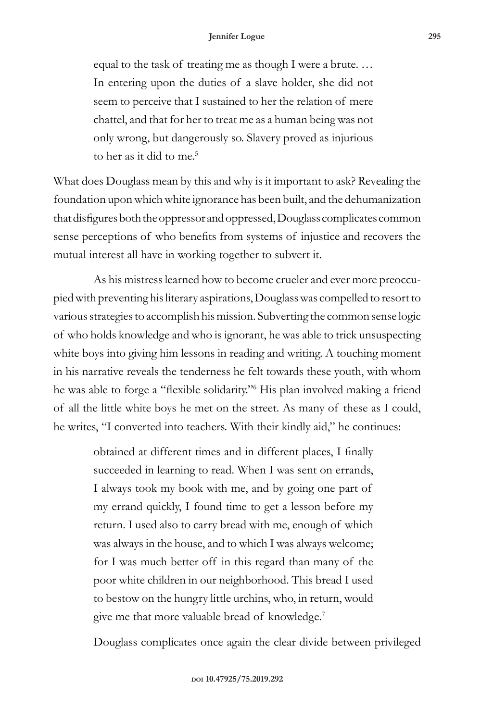equal to the task of treating me as though I were a brute. … In entering upon the duties of a slave holder, she did not seem to perceive that I sustained to her the relation of mere chattel, and that for her to treat me as a human being was not only wrong, but dangerously so. Slavery proved as injurious to her as it did to me. $5$ 

What does Douglass mean by this and why is it important to ask? Revealing the foundation upon which white ignorance has been built, and the dehumanization that disfigures both the oppressor and oppressed, Douglass complicates common sense perceptions of who benefits from systems of injustice and recovers the mutual interest all have in working together to subvert it.

As his mistress learned how to become crueler and ever more preoccupied with preventing his literary aspirations, Douglass was compelled to resort to various strategies to accomplish his mission. Subverting the common sense logic of who holds knowledge and who is ignorant, he was able to trick unsuspecting white boys into giving him lessons in reading and writing. A touching moment in his narrative reveals the tenderness he felt towards these youth, with whom he was able to forge a "flexible solidarity."<sup>6</sup> His plan involved making a friend of all the little white boys he met on the street. As many of these as I could, he writes, "I converted into teachers. With their kindly aid," he continues:

> obtained at different times and in different places, I finally succeeded in learning to read. When I was sent on errands, I always took my book with me, and by going one part of my errand quickly, I found time to get a lesson before my return. I used also to carry bread with me, enough of which was always in the house, and to which I was always welcome; for I was much better off in this regard than many of the poor white children in our neighborhood. This bread I used to bestow on the hungry little urchins, who, in return, would give me that more valuable bread of knowledge.<sup>7</sup>

Douglass complicates once again the clear divide between privileged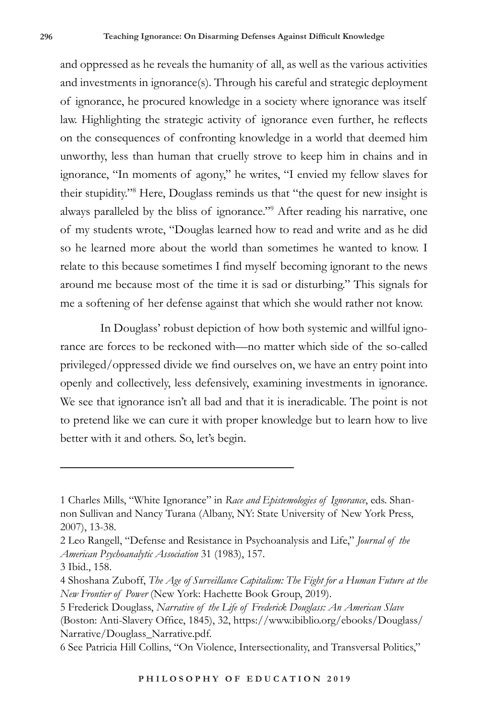and oppressed as he reveals the humanity of all, as well as the various activities and investments in ignorance(s). Through his careful and strategic deployment of ignorance, he procured knowledge in a society where ignorance was itself law. Highlighting the strategic activity of ignorance even further, he reflects on the consequences of confronting knowledge in a world that deemed him unworthy, less than human that cruelly strove to keep him in chains and in ignorance, "In moments of agony," he writes, "I envied my fellow slaves for their stupidity."<sup>8</sup> Here, Douglass reminds us that "the quest for new insight is always paralleled by the bliss of ignorance."<sup>9</sup> After reading his narrative, one of my students wrote, "Douglas learned how to read and write and as he did so he learned more about the world than sometimes he wanted to know. I relate to this because sometimes I find myself becoming ignorant to the news around me because most of the time it is sad or disturbing." This signals for me a softening of her defense against that which she would rather not know.

In Douglass' robust depiction of how both systemic and willful ignorance are forces to be reckoned with—no matter which side of the so-called privileged/oppressed divide we find ourselves on, we have an entry point into openly and collectively, less defensively, examining investments in ignorance. We see that ignorance isn't all bad and that it is ineradicable. The point is not to pretend like we can cure it with proper knowledge but to learn how to live better with it and others. So, let's begin.

5 Frederick Douglass, *Narrative of the Life of Frederick Douglass: An American Slave* 

<sup>1</sup> Charles Mills, "White Ignorance" in *Race and Epistemologies of Ignorance*, eds. Shannon Sullivan and Nancy Turana (Albany, NY: State University of New York Press, 2007), 13-38.

<sup>2</sup> Leo Rangell, "Defense and Resistance in Psychoanalysis and Life," *Journal of the American Psychoanalytic Association* 31 (1983), 157.

<sup>3</sup> Ibid., 158.

<sup>4</sup> Shoshana Zuboff, *The Age of Surveillance Capitalism: The Fight for a Human Future at the New Frontier of Power* (New York: Hachette Book Group, 2019).

<sup>(</sup>Boston: Anti-Slavery Office, 1845), 32, https://www.ibiblio.org/ebooks/Douglass/ Narrative/Douglass\_Narrative.pdf.

<sup>6</sup> See Patricia Hill Collins, "On Violence, Intersectionality, and Transversal Politics,"